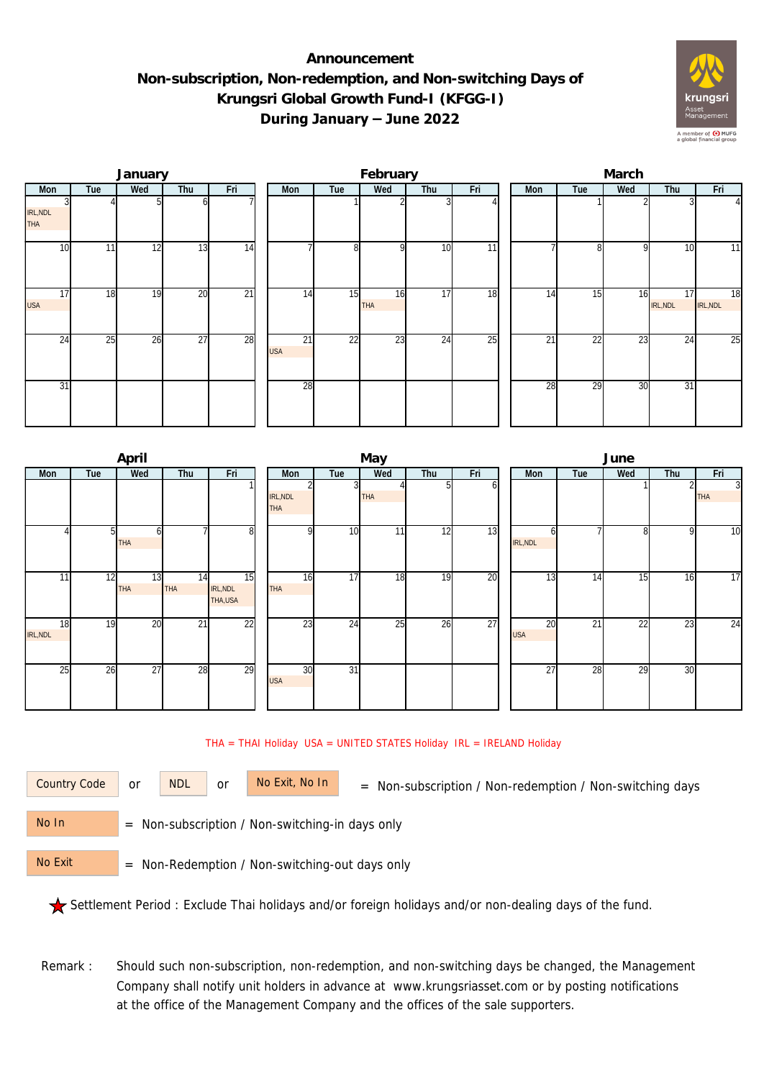## **Announcement Non-subscription, Non-redemption, and Non-switching Days of Krungsri Global Growth Fund-I (KFGG-I) During January – June 2022**



|                               |     | January |                 |                 |                               |                 | February         |                 |     | March |                 |     |                |                  |  |  |
|-------------------------------|-----|---------|-----------------|-----------------|-------------------------------|-----------------|------------------|-----------------|-----|-------|-----------------|-----|----------------|------------------|--|--|
| Mon                           | Tue | Wed     | Thu             | Fri             | Mon                           | Tue             | Wed              | Thu             | Fri | Mon   | Tue             | Wed | Thu            | Fri              |  |  |
| IRL, NDL<br>THA               |     |         |                 |                 |                               |                 |                  |                 |     |       |                 |     |                | $\left 4\right $ |  |  |
| 10                            | 11  | 12      | $1\overline{3}$ | 14              |                               | 8               | $\Omega$         | 10              | 11  |       | 81              | -Q  | 10             | 11               |  |  |
| $1\overline{7}$<br><b>USA</b> | 18  | 19      | 20              | $\overline{21}$ | 14                            | 15              | 16<br><b>THA</b> | $1\overline{7}$ | 18  | 14    | 15              | 16  | 17<br>IRL, NDL | 18<br>IRL, NDL   |  |  |
| 24                            | 25  | 26      | $\overline{27}$ | 28              | $\overline{21}$<br><b>USA</b> | $\overline{22}$ | 23               | 24              | 25  | 21    | $\overline{22}$ | 23  | 24             | 25               |  |  |
| 31                            |     |         |                 |                 | 28                            |                 |                  |                 |     | 28    | 29              | 30  | 31             |                  |  |  |

|                |     | April            |                               |                            | May                    |                |            |     |     |  |                  | June            |     |     |                              |  |  |
|----------------|-----|------------------|-------------------------------|----------------------------|------------------------|----------------|------------|-----|-----|--|------------------|-----------------|-----|-----|------------------------------|--|--|
| Mon            | Tue | Wed              | Thu                           | Fri                        | Mon                    | Tue            | Wed        | Thu | Fri |  | Mon              | Tue             | Wed | Thu | Fri                          |  |  |
|                |     |                  |                               |                            | IRL, NDL<br><b>THA</b> | $\overline{3}$ | <b>THA</b> |     | b   |  |                  |                 |     |     | $\overline{3}$<br><b>THA</b> |  |  |
|                |     | 61<br>THA        |                               | 8                          | $\Omega$               | 10             | $1\bar{1}$ | 12  | 13  |  | h<br>IRL, NDL    |                 | 8   | 9   | 10                           |  |  |
| 11             | 12  | 13<br><b>THA</b> | $1\overline{4}$<br><b>THA</b> | 15<br>IRL, NDL<br>THA, USA | 16<br><b>THA</b>       | 17             | 18         | 19  | 20  |  | 13               | 14              | 15  | 16  | 17                           |  |  |
| 18<br>IRL, NDL | 19  | 20               | $\overline{21}$               | $\overline{22}$            | 23                     | 24             | 25         | 26  | 27  |  | 20<br><b>USA</b> | $\overline{21}$ | 22  | 23  | 24                           |  |  |
| 25             | 26  | 27               | 28                            | 29                         | 30<br><b>USA</b>       | 31             |            |     |     |  | 27               | 28              | 29  | 30  |                              |  |  |

## THA = THAI Holiday USA = UNITED STATES Holiday IRL = IRELAND Holiday



or NDL or

Country Code or NDL or No Exit, No In = Non-subscription / Non-redemption / Non-switching days

 = Non-subscription / Non-switching-in days only No In

 = Non-Redemption / Non-switching-out days only No Exit

Settlement Period : Exclude Thai holidays and/or foreign holidays and/or non-dealing days of the fund.

Remark : Should such non-subscription, non-redemption, and non-switching days be changed, the Management Company shall notify unit holders in advance at www.krungsriasset.com or by posting notifications at the office of the Management Company and the offices of the sale supporters.